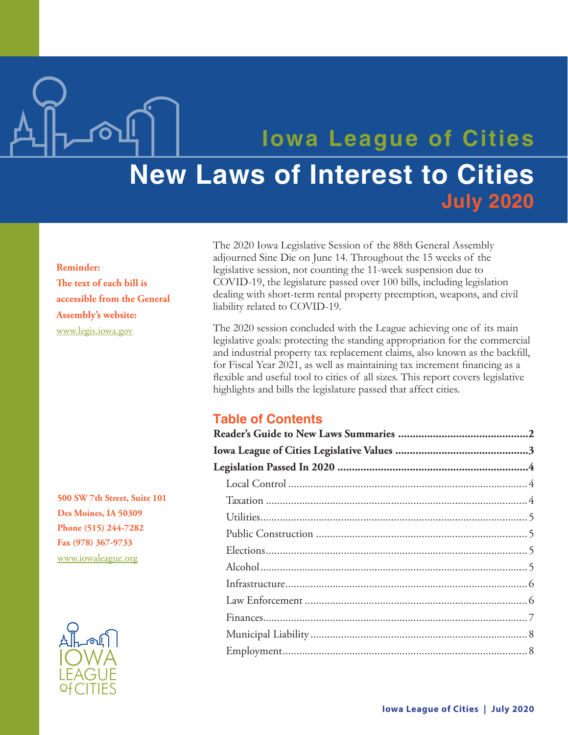# **Iowa League of Cities New Laws of Interest to Cities July 2020**

Reminder: The text of each bill is accessible from the General Assembly's website: www.legis.iowa.gov

500 SW 7th Street, Suite 101 Des Moines, IA 50309 Phone (515) 244-7282 Fax (978) 367-9733 www.iowaleague.org



The 2020 Iowa Legislative Session of the 88th General Assembly adjourned Sine Die on June 14. Throughout the 15 weeks of the legislative session, not counting the 11-week suspension due to COVID-19, the legislature passed over 100 bills, including legislation dealing with short-term rental property preemption, weapons, and civil liability related to COVID-19.

The 2020 session concluded with the League achieving one of its main legislative goals: protecting the standing appropriation for the commercial and industrial property tax replacement claims, also known as the backfill, for Fiscal Year 2021, as well as maintaining tax increment financing as a flexible and useful tool to cities of all sizes. This report covers legislative highlights and bills the legislature passed that affect cities.

# **Table of Contents**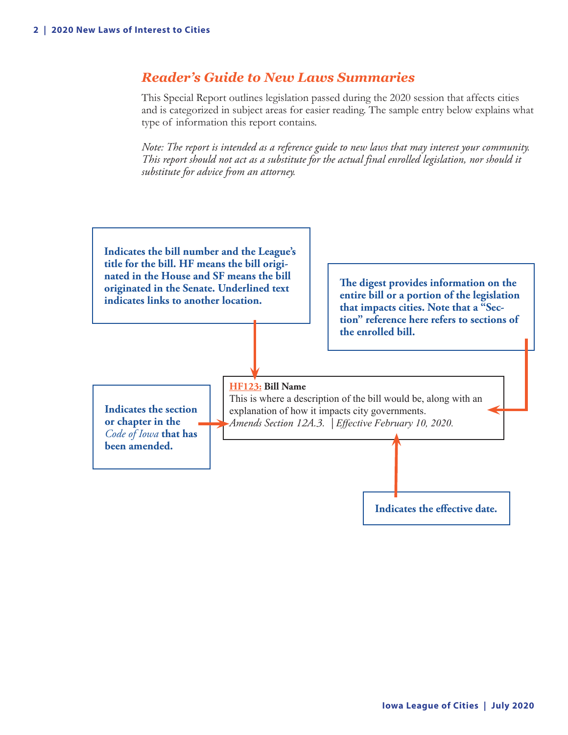# <span id="page-1-0"></span>*Reader's Guide to New Laws Summaries*

This Special Report outlines legislation passed during the 2020 session that affects cities and is categorized in subject areas for easier reading. The sample entry below explains what type of information this report contains.

*Note: The report is intended as a reference guide to new laws that may interest your community. This report should not act as a substitute for the actual final enrolled legislation, nor should it substitute for advice from an attorney.*

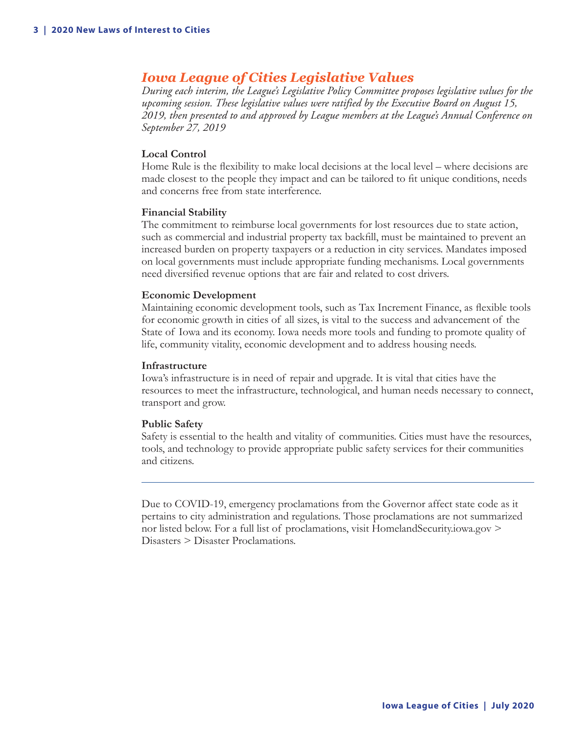# <span id="page-2-0"></span>*Iowa League of Cities Legislative Values*

*During each interim, the League's Legislative Policy Committee proposes legislative values for the upcoming session. These legislative values were ratified by the Executive Board on August 15, 2019, then presented to and approved by League members at the League's Annual Conference on September 27, 2019*

#### **Local Control**

Home Rule is the flexibility to make local decisions at the local level – where decisions are made closest to the people they impact and can be tailored to fit unique conditions, needs and concerns free from state interference.

#### **Financial Stability**

The commitment to reimburse local governments for lost resources due to state action, such as commercial and industrial property tax backfill, must be maintained to prevent an increased burden on property taxpayers or a reduction in city services. Mandates imposed on local governments must include appropriate funding mechanisms. Local governments need diversified revenue options that are fair and related to cost drivers.

#### **Economic Development**

Maintaining economic development tools, such as Tax Increment Finance, as flexible tools for economic growth in cities of all sizes, is vital to the success and advancement of the State of Iowa and its economy. Iowa needs more tools and funding to promote quality of life, community vitality, economic development and to address housing needs.

#### **Infrastructure**

Iowa's infrastructure is in need of repair and upgrade. It is vital that cities have the resources to meet the infrastructure, technological, and human needs necessary to connect, transport and grow.

#### **Public Safety**

Safety is essential to the health and vitality of communities. Cities must have the resources, tools, and technology to provide appropriate public safety services for their communities and citizens.

Due to COVID-19, emergency proclamations from the Governor affect state code as it pertains to city administration and regulations. Those proclamations are not summarized nor listed below. For a full list of proclamations, visit HomelandSecurity.iowa.gov > Disasters > Disaster Proclamations.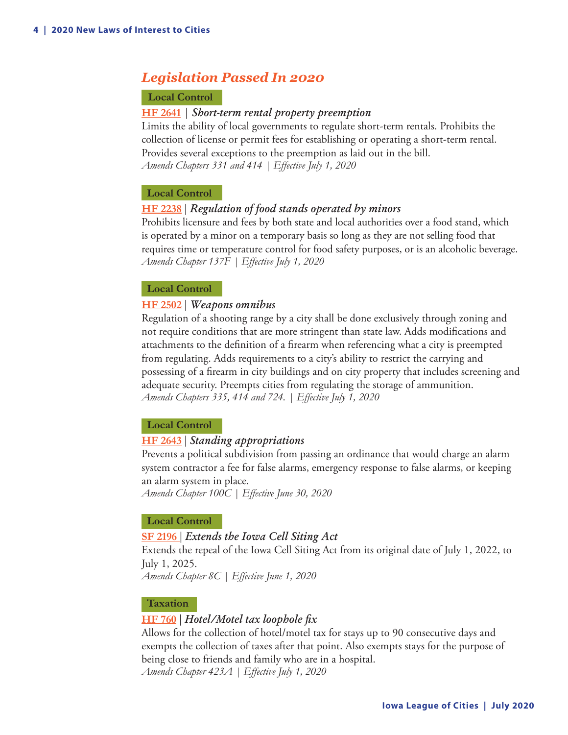# <span id="page-3-0"></span>*Legislation Passed In 2020*

# **Local Control**

# **HF 2641** *| Short-term rental property preemption*

Limits the ability of local governments to regulate short-term rentals. Prohibits the collection of license or permit fees for establishing or operating a short-term rental. Provides several exceptions to the preemption as laid out in the bill. *Amends Chapters 331 and 414 | Effective July 1, 2020*

# **Local Control**

# **HF 2238** | *Regulation of food stands operated by minors*

Prohibits licensure and fees by both state and local authorities over a food stand, which is operated by a minor on a temporary basis so long as they are not selling food that requires time or temperature control for food safety purposes, or is an alcoholic beverage. *Amends Chapter 137F | Effective July 1, 2020*

# **Local Control**

# **HF 2502** | *Weapons omnibus*

Regulation of a shooting range by a city shall be done exclusively through zoning and not require conditions that are more stringent than state law. Adds modifications and attachments to the definition of a firearm when referencing what a city is preempted from regulating. Adds requirements to a city's ability to restrict the carrying and possessing of a firearm in city buildings and on city property that includes screening and adequate security. Preempts cities from regulating the storage of ammunition. *Amends Chapters 335, 414 and 724. | Effective July 1, 2020*

# **Local Control**

# **HF 2643** | *Standing appropriations*

Prevents a political subdivision from passing an ordinance that would charge an alarm system contractor a fee for false alarms, emergency response to false alarms, or keeping an alarm system in place.

*Amends Chapter 100C | Effective June 30, 2020*

# **Local Control**

# **SF 2196** | *Extends the Iowa Cell Siting Act*

Extends the repeal of the Iowa Cell Siting Act from its original date of July 1, 2022, to July 1, 2025.

*Amends Chapter 8C | Effective June 1, 2020*

# **Taxation**

# **HF 760** | *Hotel/Motel tax loophole fix*

Allows for the collection of hotel/motel tax for stays up to 90 consecutive days and exempts the collection of taxes after that point. Also exempts stays for the purpose of being close to friends and family who are in a hospital.

*Amends Chapter 423A | Effective July 1, 2020*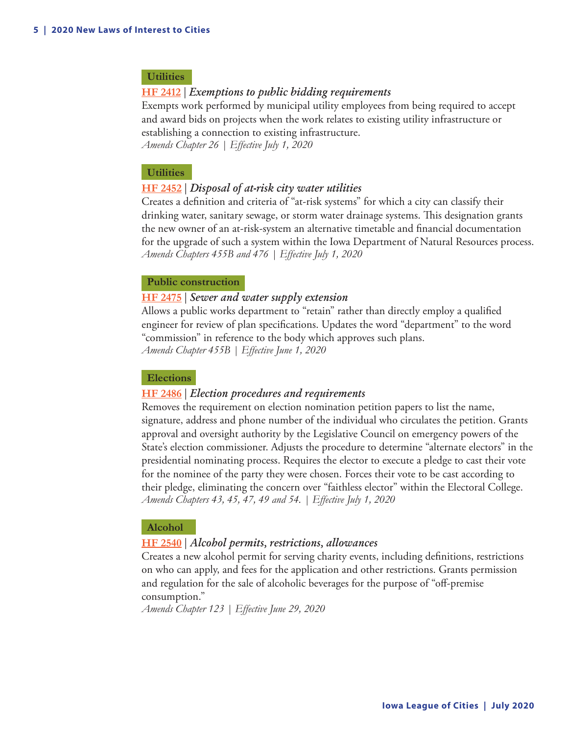# <span id="page-4-0"></span> **Utilities**

#### **HF 2412** | *Exemptions to public bidding requirements*

Exempts work performed by municipal utility employees from being required to accept and award bids on projects when the work relates to existing utility infrastructure or establishing a connection to existing infrastructure.

*Amends Chapter 26 | Effective July 1, 2020*

#### **Utilities**

#### **HF 2452** | *Disposal of at-risk city water utilities*

Creates a definition and criteria of "at-risk systems" for which a city can classify their drinking water, sanitary sewage, or storm water drainage systems. This designation grants the new owner of an at-risk-system an alternative timetable and financial documentation for the upgrade of such a system within the Iowa Department of Natural Resources process. *Amends Chapters 455B and 476 | Effective July 1, 2020*

#### **Public construction**

#### **HF 2475** | *Sewer and water supply extension*

Allows a public works department to "retain" rather than directly employ a qualified engineer for review of plan specifications. Updates the word "department" to the word "commission" in reference to the body which approves such plans. *Amends Chapter 455B | Effective June 1, 2020*

## **Elections**

#### **HF 2486** | *Election procedures and requirements*

Removes the requirement on election nomination petition papers to list the name, signature, address and phone number of the individual who circulates the petition. Grants approval and oversight authority by the Legislative Council on emergency powers of the State's election commissioner. Adjusts the procedure to determine "alternate electors" in the presidential nominating process. Requires the elector to execute a pledge to cast their vote for the nominee of the party they were chosen. Forces their vote to be cast according to their pledge, eliminating the concern over "faithless elector" within the Electoral College. *Amends Chapters 43, 45, 47, 49 and 54. | Effective July 1, 2020*

#### **Alcohol**

#### **HF 2540** | *Alcohol permits, restrictions, allowances*

Creates a new alcohol permit for serving charity events, including definitions, restrictions on who can apply, and fees for the application and other restrictions. Grants permission and regulation for the sale of alcoholic beverages for the purpose of "off-premise consumption."

*Amends Chapter 123 | Effective June 29, 2020*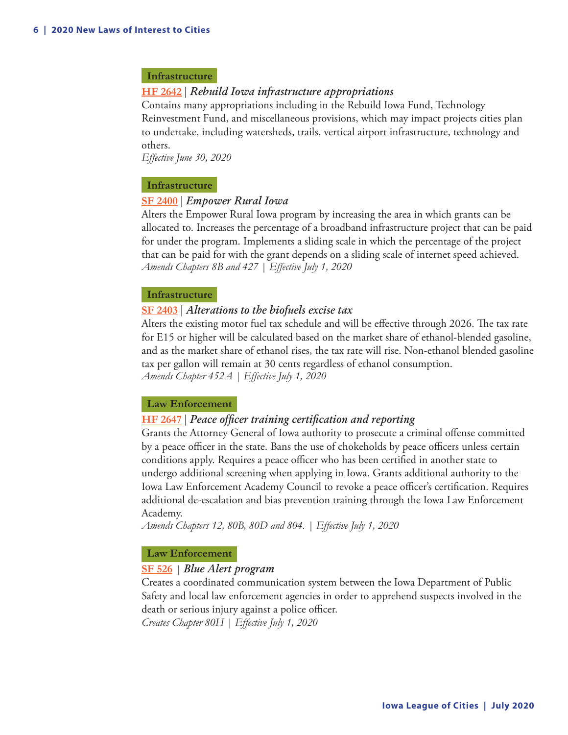#### <span id="page-5-0"></span> **Infrastructure**

# **HF 2642** | *Rebuild Iowa infrastructure appropriations*

Contains many appropriations including in the Rebuild Iowa Fund, Technology Reinvestment Fund, and miscellaneous provisions, which may impact projects cities plan to undertake, including watersheds, trails, vertical airport infrastructure, technology and others.

*Effective June 30, 2020*

#### **Infrastructure**

#### **SF 2400** | *Empower Rural Iowa*

Alters the Empower Rural Iowa program by increasing the area in which grants can be allocated to. Increases the percentage of a broadband infrastructure project that can be paid for under the program. Implements a sliding scale in which the percentage of the project that can be paid for with the grant depends on a sliding scale of internet speed achieved. *Amends Chapters 8B and 427 | Effective July 1, 2020*

#### **Infrastructure**

#### **SF 2403** | *Alterations to the biofuels excise tax*

Alters the existing motor fuel tax schedule and will be effective through 2026. The tax rate for E15 or higher will be calculated based on the market share of ethanol-blended gasoline, and as the market share of ethanol rises, the tax rate will rise. Non-ethanol blended gasoline tax per gallon will remain at 30 cents regardless of ethanol consumption. *Amends Chapter 452A | Effective July 1, 2020*

#### **Law Enforcement**

#### **HF 2647** | *Peace officer training certification and reporting*

Grants the Attorney General of Iowa authority to prosecute a criminal offense committed by a peace officer in the state. Bans the use of chokeholds by peace officers unless certain conditions apply. Requires a peace officer who has been certified in another state to undergo additional screening when applying in Iowa. Grants additional authority to the Iowa Law Enforcement Academy Council to revoke a peace officer's certification. Requires additional de-escalation and bias prevention training through the Iowa Law Enforcement Academy.

*Amends Chapters 12, 80B, 80D and 804. | Effective July 1, 2020*

#### **Law Enforcement**

#### **SF 526** *| Blue Alert program*

Creates a coordinated communication system between the Iowa Department of Public Safety and local law enforcement agencies in order to apprehend suspects involved in the death or serious injury against a police officer. *Creates Chapter 80H | Effective July 1, 2020*

**Iowa League of Cities | July 2020**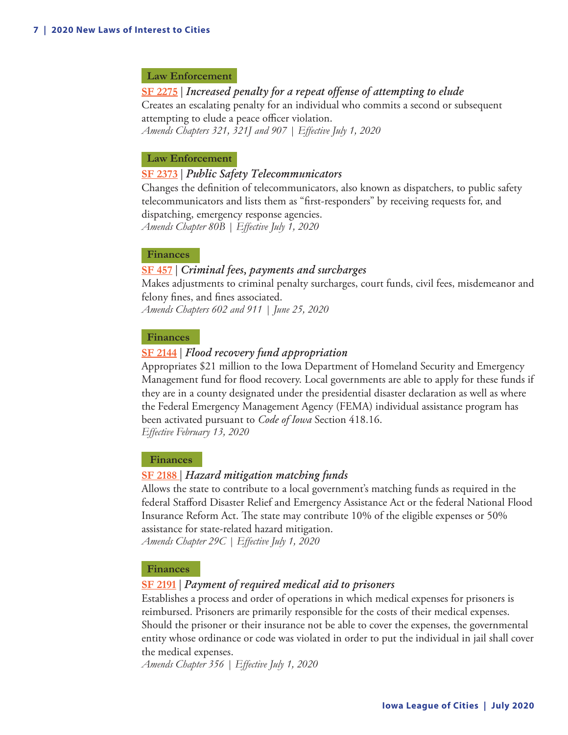#### <span id="page-6-0"></span> **Law Enforcement**

**SF 2275** | *Increased penalty for a repeat offense of attempting to elude* Creates an escalating penalty for an individual who commits a second or subsequent attempting to elude a peace officer violation. *Amends Chapters 321, 321J and 907 | Effective July 1, 2020*

#### **Law Enforcement**

## **SF 2373** | *Public Safety Telecommunicators*

Changes the definition of telecommunicators, also known as dispatchers, to public safety telecommunicators and lists them as "first-responders" by receiving requests for, and dispatching, emergency response agencies. *Amends Chapter 80B | Effective July 1, 2020*

 **Finances**

# **SF 457** | *Criminal fees, payments and surcharges*

Makes adjustments to criminal penalty surcharges, court funds, civil fees, misdemeanor and felony fines, and fines associated.

*Amends Chapters 602 and 911 | June 25, 2020*

#### **Finances**

#### **SF 2144** | *Flood recovery fund appropriation*

Appropriates \$21 million to the Iowa Department of Homeland Security and Emergency Management fund for flood recovery. Local governments are able to apply for these funds if they are in a county designated under the presidential disaster declaration as well as where the Federal Emergency Management Agency (FEMA) individual assistance program has been activated pursuant to *Code of Iowa* Section 418.16. *Effective February 13, 2020* 

#### **Finances**

#### **SF 2188** | *Hazard mitigation matching funds*

Allows the state to contribute to a local government's matching funds as required in the federal Stafford Disaster Relief and Emergency Assistance Act or the federal National Flood Insurance Reform Act. The state may contribute 10% of the eligible expenses or 50% assistance for state-related hazard mitigation.

*Amends Chapter 29C | Effective July 1, 2020*

#### **Finances**

#### **SF 2191** | *Payment of required medical aid to prisoners*

Establishes a process and order of operations in which medical expenses for prisoners is reimbursed. Prisoners are primarily responsible for the costs of their medical expenses. Should the prisoner or their insurance not be able to cover the expenses, the governmental entity whose ordinance or code was violated in order to put the individual in jail shall cover the medical expenses.

*Amends Chapter 356 | Effective July 1, 2020*